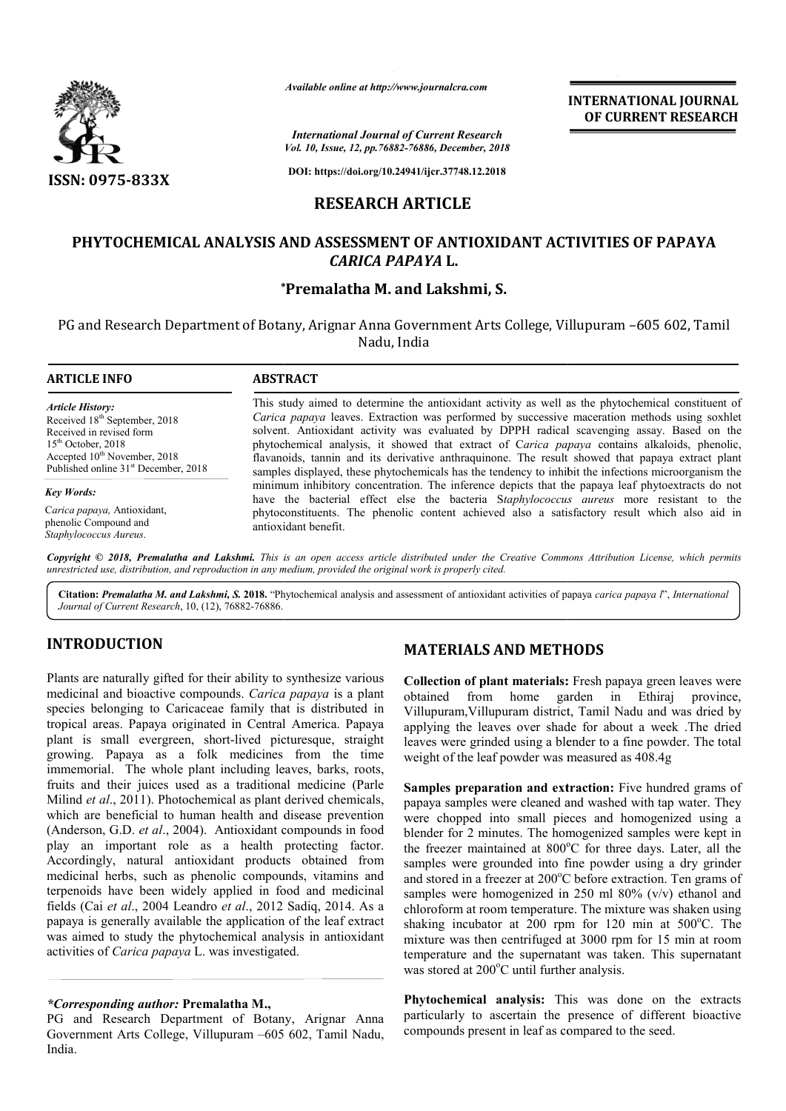

*International Journal of Current Research Vol. 10, Issue, 12, pp.76882-76886, December, 2018*

**DOI: https://doi.org/10.24941/ijcr.37748.12.2018**

## **RESEARCH ARTICLE**

## **PHYTOCHEMICAL ANALYSIS AND ASSESSMENT OF ANTIOXIDANT ACTIVITIES OF PAPAYA ASSESSMENT OF ACTIVITIES OF PAPAYA***CARICA PAPAYA* **L.**

### **\* \*Premalatha M. and Lakshmi, S.**

PG and Research Department of Botany, Arignar Anna Government Arts College, Villupuram –605 602, Tamil Nadu, India

# **ARTICLE INFO ABSTRACT** This study aimed to determine the antioxidant activity as well as the phytochemical constituent of *Carica papaya*  leaves. Extraction was performed by successive maceration methods using soxhlet This study aimed to determine the antioxidant activity as well as the phytochemical constituent of Carica papaya leaves. Extraction was performed by successive maceration methods using soxhlet solvent. Antioxidant activity phytochemical analysis, it showed that extract of C *arica papaya*  contains alkaloids, phenolic, flavanoids, tannin and its derivative anthraquinone. The result showed that papaya extract plant samples displayed, these phytochemicals has the tendency to inhibit the infections microorganism the minimum inhibitory conce samples displayed, these phytochemicals has the tendency to inhibit the infections microorganism the minimum inhibitory concentration. The inference depicts that the papaya leaf phytoextracts do not *Article History:* Received 18<sup>th</sup> September, 2018 Received in revised form  $15<sup>th</sup>$  October, 2018  $Accepted 10<sup>th</sup> November, 2018$ Published online 31<sup>st</sup> December, 2018 *Key Words:* Available online at http://www.journalcra.com<br>
International Journal of Current Resea<br>
Vol. 10, Issue, 12, pp.76882-76886, December,<br>
DOI: https://doi.org/10.24941/ijcr.37748.12.2<br> **RESEARCH ARTICLE**<br>
AND ASSESSMENT OF ANT

C*arica papaya,* Antioxidant, phenolic Compound and *Staphylococcus Aureus*.

have the bacterial effect else the bacteria S *taphylococcus aureus* more resistant to the phytoc phytoconstituents. The phenolic content achieved also a satisfactory result which also aid in phenolic antioxidant benefit.

Copyright © 2018, Premalatha and Lakshmi. This is an open access article distributed under the Creative Commons Attribution License, which permits *unrestricted use, distribution, and reproduction in any medium, provided the original work is properly cited.*

Citation: Premalatha M. and Lakshmi, S. 2018. "Phytochemical analysis and assessment of antioxidant activities of papaya carica papaya *l*", *International Journal of Current Research*, 10, (12), 76882-76886.

## **INTRODUCTION**

Plants are naturally gifted for their ability to synthesize various medicinal and bioactive compounds. *Carica papaya*  is a plant species belonging to Caricaceae family that is distributed in tropical areas. Papaya originated in Central America. Papaya plant is small evergreen, short-lived picturesque, straight growing. Papaya as a folk medicines from the time immemorial. The whole plant including leaves, barks, roots, fruits and their juices used as a traditional medicine (Parle Milind *et al*., 2011). Photochemical as plant derived chemicals, which are beneficial to human health and disease prevention (Anderson, G.D. *et al*., 2004). Antioxidant compounds in food play an important role as a health protecting factor. Accordingly, natural antioxidant products obtained from medicinal herbs, such as phenolic compounds, vitamins and terpenoids have been widely applied in food and fields (Cai *et al*., 2004 Leandro *et al*., 2012 Sadiq, 2014. As a papaya is generally available the application of the leaf extract was aimed to study the phytochemical analysis in antioxidant activities of *Carica papaya* L. was investigated. green, short-lived picturesque, straight<br>is a folk medicines from the time<br>iole plant including leaves, barks, roots,<br>s used as a traditional medicine (Parle<br>hotochemical as plant derived chemicals,<br>to human health and dis

#### *\*Corresponding author:* **Premalatha M.,**

PG and Research Department of Botany, Arignar Anna Government Arts College, Villupuram –605 602, Tamil Nadu, India.

## **MATERIALS AND METHODS**

**Collection of plant materials: :** Fresh papaya green leaves were obtained from home garden in Ethiraj province, Villupuram,Villupuram district, Tamil Nadu and was dried by applying the leaves over shade for about a week .The dried leaves were grinded using a blender to a fine powder. The total weight of the leaf powder was measured as  $408.4g$ obtained from home garden in Ethiraj provin<br>Villupuram, Villupuram district, Tamil Nadu and was dried<br>applying the leaves over shade for about a week .The dr<br>leaves were grinded using a blender to a fine powder. The to<br>wei

**INTERNATIONAL JOURNAL OF CURRENT RESEARCH**

**MATERIALS AND METHODS**<br>
y to synthesize various<br>
collection of plant materials: Fresh<br> *rica papaya* is a plant<br>
that is distributed in Villupuram, Villupuram district, Tam<br>
tratal America. Papaya applying the leaves over **Samples preparation and extraction:** Five hundred grams of papaya samples were cleaned and washed with tap water. They were chopped into small pieces and homogenized using a blender for 2 minutes. The homogenized samples were kept in the freezer maintained at  $800^{\circ}$ C for three days. Later, all the samples were grounded into fine powder using a dry grinder and stored in a freezer at 200°C before extraction. Ten grams of samples were homogenized in 250 ml 80%  $(v/v)$  ethanol and chloroform at room temperature. The mixture was shaken using shaking incubator at  $200$  rpm for  $120$  min at  $500^{\circ}$ C. The mixture was then centrifuged at 3000 rpm for 15 min at room temperature and the supernatant was taken. This supernatant was stored at 200°C until further analysis. cleaned and washed with tap water. They<br>small pieces and homogenized using a<br>The homogenized samples were kept in<br>d at 800°C for three days. Later, all the samples were grounded into fine powder using a dry grinder and stored in a freezer at  $200^{\circ}$ C before extraction. Ten grams of samples were homogenized in  $250$  ml  $80\%$  (v/v) ethanol and chloroform at room temperature **EXERIME AT THE SUPER AT THE SUPER AT THE SUPER AT THE SUPER AT THE SUPER AN ACTIVITIES OF PAPAYA AT THE SUPER AT THE SUPER AT THE SUPER AT THE SUPER AT THE SUPER AT THE SUPER AT THE SUPER AT THE SUPER AT THE MANA THE SUP** 

**Phytochemical analysis:** This was done on the extracts particularly to ascertain the presence of different bioactive compounds present in leaf as compared to the seed.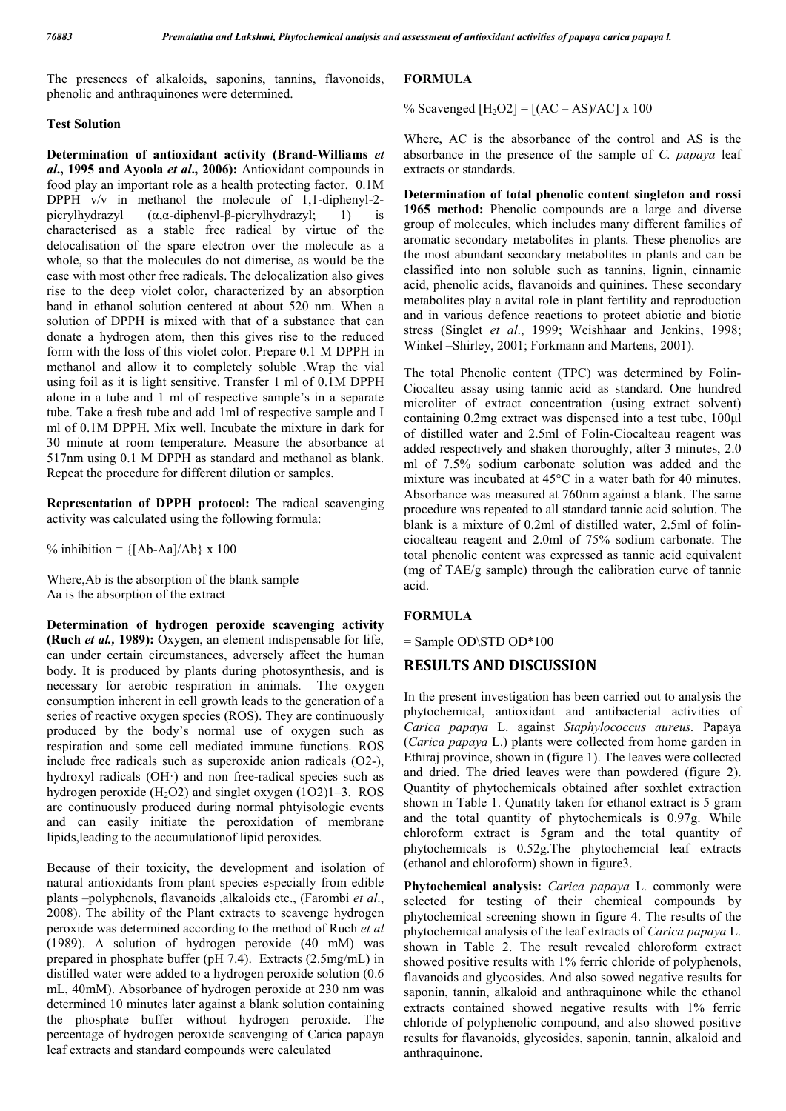The presences of alkaloids, saponins, tannins, flavonoids, phenolic and anthraquinones were determined.

#### **Test Solution**

**Determination of antioxidant activity (Brand-Williams** *et al***., 1995 and Ayoola** *et al***., 2006):** Antioxidant compounds in food play an important role as a health protecting factor. 0.1M DPPH v/v in methanol the molecule of 1,1-diphenyl-2 picrylhydrazyl (α,α-diphenyl-β-picrylhydrazyl; 1) is characterised as a stable free radical by virtue of the delocalisation of the spare electron over the molecule as a whole, so that the molecules do not dimerise, as would be the case with most other free radicals. The delocalization also gives rise to the deep violet color, characterized by an absorption band in ethanol solution centered at about 520 nm. When a solution of DPPH is mixed with that of a substance that can donate a hydrogen atom, then this gives rise to the reduced form with the loss of this violet color. Prepare 0.1 M DPPH in methanol and allow it to completely soluble .Wrap the vial using foil as it is light sensitive. Transfer 1 ml of 0.1M DPPH alone in a tube and 1 ml of respective sample's in a separate tube. Take a fresh tube and add 1ml of respective sample and I ml of 0.1M DPPH. Mix well. Incubate the mixture in dark for 30 minute at room temperature. Measure the absorbance at 517nm using 0.1 M DPPH as standard and methanol as blank. Repeat the procedure for different dilution or samples.

**Representation of DPPH protocol:** The radical scavenging activity was calculated using the following formula:

% inhibition =  ${[Ab-Aa]/Ab} x 100$ 

Where,Ab is the absorption of the blank sample Aa is the absorption of the extract

**Determination of hydrogen peroxide scavenging activity (Ruch** *et al.,* **1989):** Oxygen, an element indispensable for life, can under certain circumstances, adversely affect the human body. It is produced by plants during photosynthesis, and is necessary for aerobic respiration in animals. The oxygen consumption inherent in cell growth leads to the generation of a series of reactive oxygen species (ROS). They are continuously produced by the body's normal use of oxygen such as respiration and some cell mediated immune functions. ROS include free radicals such as superoxide anion radicals (O2-), hydroxyl radicals (OH·) and non free-radical species such as hydrogen peroxide  $(H<sub>2</sub>O2)$  and singlet oxygen (1O2)1–3. ROS are continuously produced during normal phtyisologic events and can easily initiate the peroxidation of membrane lipids,leading to the accumulationof lipid peroxides.

Because of their toxicity, the development and isolation of natural antioxidants from plant species especially from edible plants –polyphenols, flavanoids ,alkaloids etc., (Farombi *et al*., 2008). The ability of the Plant extracts to scavenge hydrogen peroxide was determined according to the method of Ruch *et al* (1989). A solution of hydrogen peroxide (40 mM) was prepared in phosphate buffer (pH 7.4). Extracts (2.5mg/mL) in distilled water were added to a hydrogen peroxide solution (0.6 mL, 40mM). Absorbance of hydrogen peroxide at 230 nm was determined 10 minutes later against a blank solution containing the phosphate buffer without hydrogen peroxide. The percentage of hydrogen peroxide scavenging of Carica papaya leaf extracts and standard compounds were calculated

#### **FORMULA**

% Scavenged  $[H_2O2] = [(AC - AS)/AC] x 100$ 

Where, AC is the absorbance of the control and AS is the absorbance in the presence of the sample of *C. papaya* leaf extracts or standards.

**Determination of total phenolic content singleton and rossi 1965 method:** Phenolic compounds are a large and diverse group of molecules, which includes many different families of aromatic secondary metabolites in plants. These phenolics are the most abundant secondary metabolites in plants and can be classified into non soluble such as tannins, lignin, cinnamic acid, phenolic acids, flavanoids and quinines. These secondary metabolites play a avital role in plant fertility and reproduction and in various defence reactions to protect abiotic and biotic stress (Singlet *et al*., 1999; Weishhaar and Jenkins, 1998; Winkel –Shirley, 2001; Forkmann and Martens, 2001).

The total Phenolic content (TPC) was determined by Folin-Ciocalteu assay using tannic acid as standard. One hundred microliter of extract concentration (using extract solvent) containing 0.2mg extract was dispensed into a test tube, 100μl of distilled water and 2.5ml of Folin-Ciocalteau reagent was added respectively and shaken thoroughly, after 3 minutes, 2.0 ml of 7.5% sodium carbonate solution was added and the mixture was incubated at 45°C in a water bath for 40 minutes. Absorbance was measured at 760nm against a blank. The same procedure was repeated to all standard tannic acid solution. The blank is a mixture of 0.2ml of distilled water, 2.5ml of folinciocalteau reagent and 2.0ml of 75% sodium carbonate. The total phenolic content was expressed as tannic acid equivalent (mg of TAE/g sample) through the calibration curve of tannic acid.

#### **FORMULA**

= Sample OD\STD OD\*100

#### **RESULTS AND DISCUSSION**

In the present investigation has been carried out to analysis the phytochemical, antioxidant and antibacterial activities of *Carica papaya* L. against *Staphylococcus aureus.* Papaya (*Carica papaya* L.) plants were collected from home garden in Ethiraj province, shown in (figure 1). The leaves were collected and dried. The dried leaves were than powdered (figure 2). Quantity of phytochemicals obtained after soxhlet extraction shown in Table 1. Qunatity taken for ethanol extract is 5 gram and the total quantity of phytochemicals is 0.97g. While chloroform extract is 5gram and the total quantity of phytochemicals is 0.52g.The phytochemcial leaf extracts (ethanol and chloroform) shown in figure3.

**Phytochemical analysis:** *Carica papaya* L. commonly were selected for testing of their chemical compounds by phytochemical screening shown in figure 4. The results of the phytochemical analysis of the leaf extracts of *Carica papaya* L. shown in Table 2. The result revealed chloroform extract showed positive results with 1% ferric chloride of polyphenols, flavanoids and glycosides. And also sowed negative results for saponin, tannin, alkaloid and anthraquinone while the ethanol extracts contained showed negative results with 1% ferric chloride of polyphenolic compound, and also showed positive results for flavanoids, glycosides, saponin, tannin, alkaloid and anthraquinone.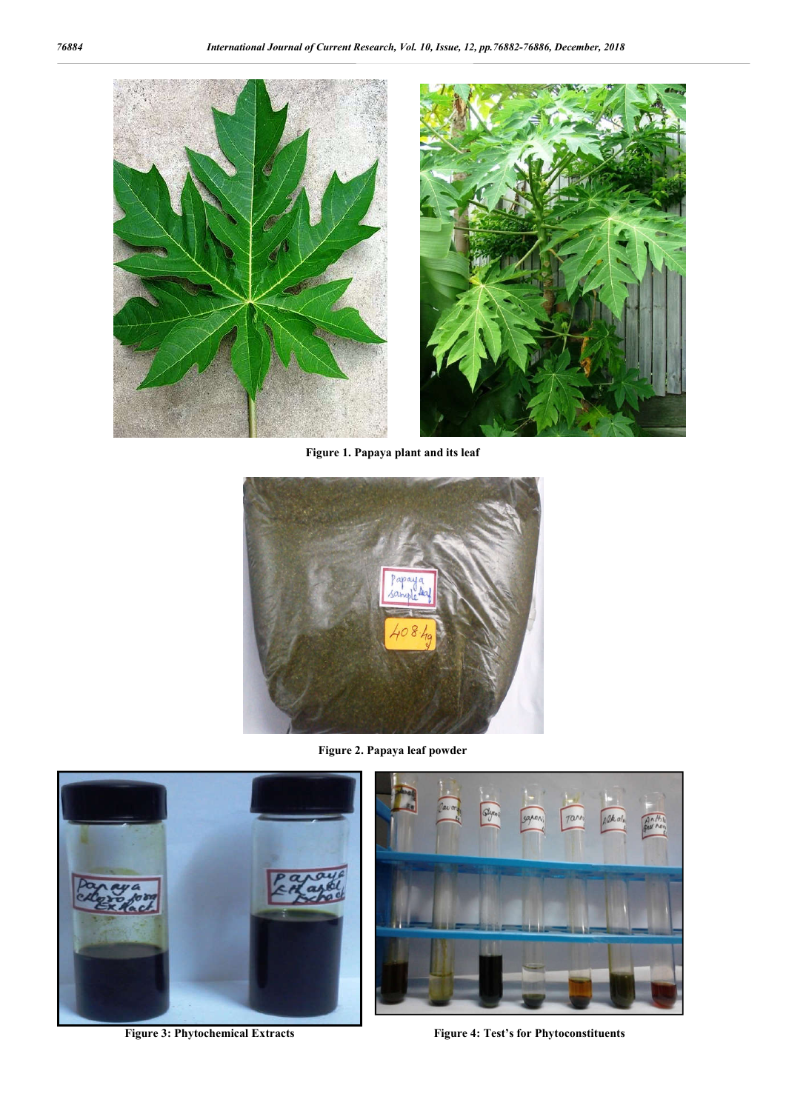



**Figure 1. Papaya plant and its leaf**



**Figure 2. Papaya leaf powder**



**Figure 3: Phytochemical Extracts Figure 4: Test's for Phytoconstituents**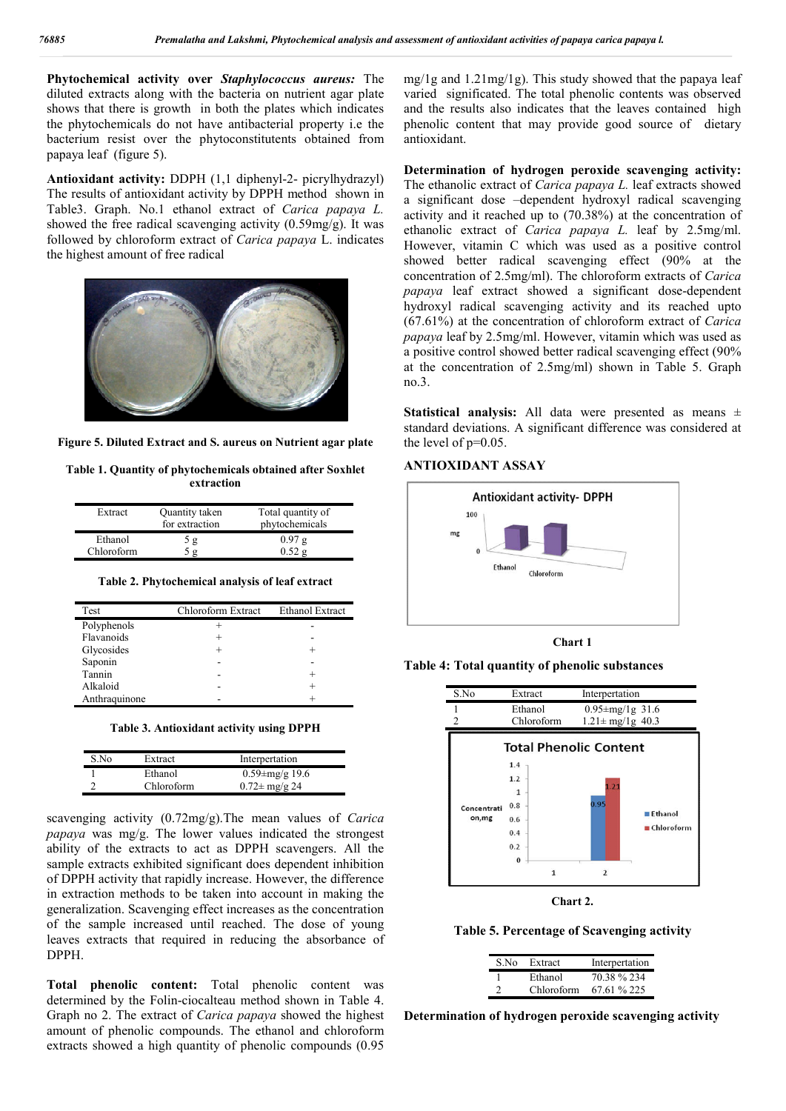**Phytochemical activity over** *Staphylococcus aureus:* The diluted extracts along with the bacteria on nutrient agar plate shows that there is growth in both the plates which indicates the phytochemicals do not have antibacterial property i.e the bacterium resist over the phytoconstitutents obtained from papaya leaf (figure 5).

**Antioxidant activity:** DDPH (1,1 diphenyl-2- picrylhydrazyl) The results of antioxidant activity by DPPH method shown in Table3. Graph. No.1 ethanol extract of *Carica papaya L.* showed the free radical scavenging activity  $(0.59 \text{mg/g})$ . It was followed by chloroform extract of *Carica papaya* L. indicates the highest amount of free radical



**Figure 5. Diluted Extract and S. aureus on Nutrient agar plate**

**Table 1. Quantity of phytochemicals obtained after Soxhlet extraction**

| Extract    | Quantity taken<br>for extraction | Total quantity of<br>phytochemicals |
|------------|----------------------------------|-------------------------------------|
| Ethanol    | 5 g                              | 0.97g                               |
| Chloroform | 5 g                              | 0.52g                               |

**Table 2. Phytochemical analysis of leaf extract**

| <b>Test</b>   | Chloroform Extract | <b>Ethanol Extract</b> |
|---------------|--------------------|------------------------|
| Polyphenols   |                    |                        |
| Flavanoids    |                    |                        |
| Glycosides    |                    |                        |
| Saponin       |                    |                        |
| Tannin        |                    |                        |
| Alkaloid      |                    |                        |
| Anthraquinone |                    |                        |

**Table 3. Antioxidant activity using DPPH**

| S No | Extract    | Interpertation             |  |
|------|------------|----------------------------|--|
|      | Ethanol    | $0.59 \pm mg/g$ 19.6       |  |
|      | Chloroform | $0.72 \pm \text{mg/g } 24$ |  |

scavenging activity (0.72mg/g).The mean values of *Carica papaya* was mg/g. The lower values indicated the strongest ability of the extracts to act as DPPH scavengers. All the sample extracts exhibited significant does dependent inhibition of DPPH activity that rapidly increase. However, the difference in extraction methods to be taken into account in making the generalization. Scavenging effect increases as the concentration of the sample increased until reached. The dose of young leaves extracts that required in reducing the absorbance of DPPH.

**Total phenolic content:** Total phenolic content was determined by the Folin-ciocalteau method shown in Table 4. Graph no 2. The extract of *Carica papaya* showed the highest amount of phenolic compounds. The ethanol and chloroform extracts showed a high quantity of phenolic compounds (0.95

mg/1g and 1.21mg/1g). This study showed that the papaya leaf varied significated. The total phenolic contents was observed and the results also indicates that the leaves contained high phenolic content that may provide good source of dietary antioxidant.

**Determination of hydrogen peroxide scavenging activity:**  The ethanolic extract of *Carica papaya L.* leaf extracts showed a significant dose –dependent hydroxyl radical scavenging activity and it reached up to (70.38%) at the concentration of ethanolic extract of *Carica papaya L.* leaf by 2.5mg/ml. However, vitamin C which was used as a positive control showed better radical scavenging effect (90% at the concentration of 2.5mg/ml). The chloroform extracts of *Carica papaya* leaf extract showed a significant dose-dependent hydroxyl radical scavenging activity and its reached upto (67.61%) at the concentration of chloroform extract of *Carica papaya* leaf by 2.5mg/ml. However, vitamin which was used as a positive control showed better radical scavenging effect (90% at the concentration of 2.5mg/ml) shown in Table 5. Graph no.3.

**Statistical analysis:** All data were presented as means ± standard deviations. A significant difference was considered at the level of  $p=0.05$ .

#### **ANTIOXIDANT ASSAY**



**Chart 1**







**Table 5. Percentage of Scavenging activity**

| S.No | Extract    | Interpertation |
|------|------------|----------------|
|      | Ethanol    | 70.38 % 234    |
|      | Chloroform | 67.61 % 225    |

**Determination of hydrogen peroxide scavenging activity**